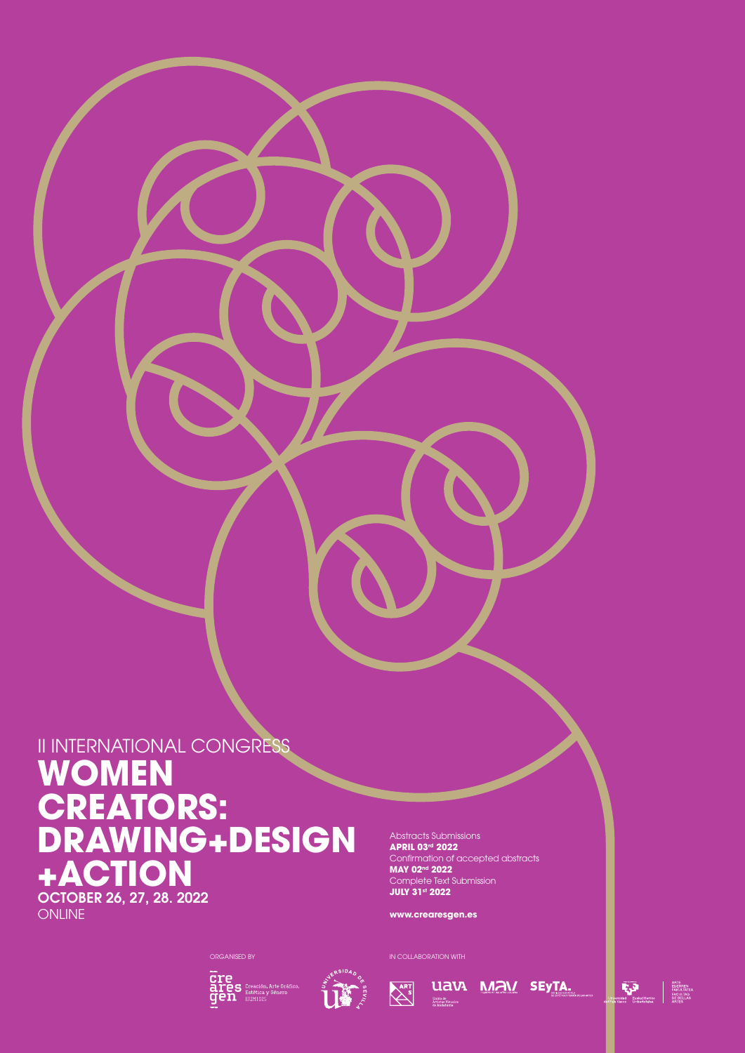# II INTERNATIONAL CONGRESS **WOMEN CREATORS: DRAWING+DESIGN +ACTION**

OCTOBER 26, 27, 28. 2022 **ONLINE** 

Abstracts Submissions **APRIL 03rd 2022** Confirmation of accepted abstracts **MAY 02nd 2022** Complete Text Submission **JULY 31st 2022**

**www.crearesgen.es**







**UAVA MAV SEYTA.** 

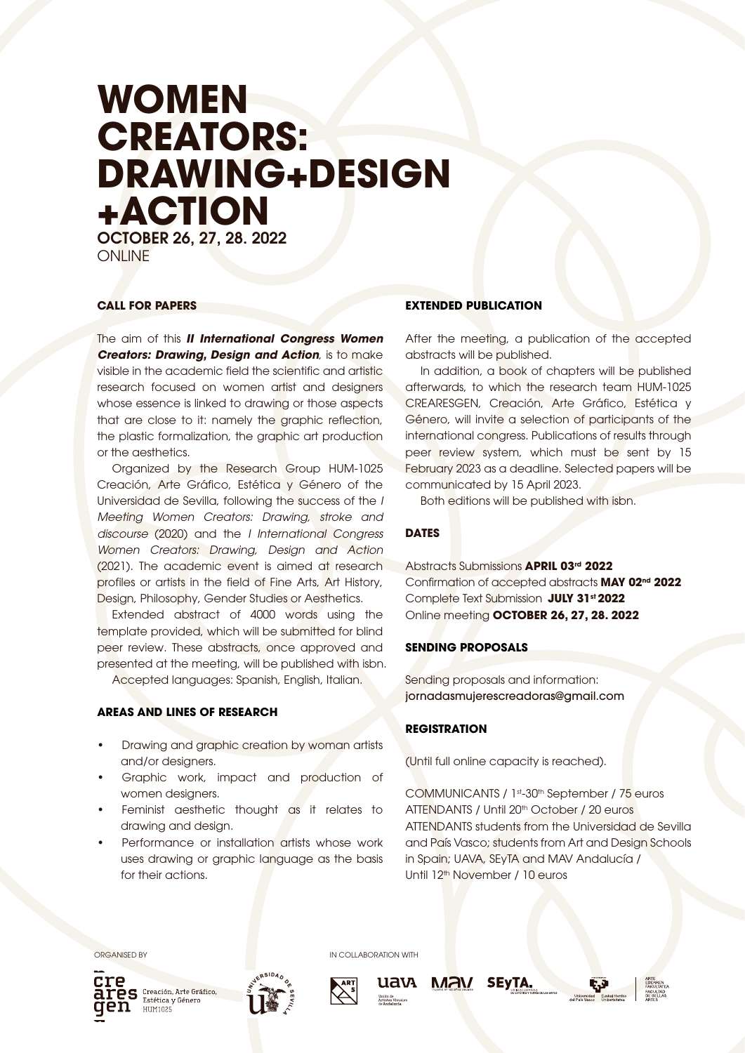# **WOMEN CREATORS: DRAWING+DESIGN +ACTION** OCTOBER 26, 27, 28. 2022

ONI INF

## **CALL FOR PAPERS**

The aim of this *II International Congress Women Creators: Drawing, Design and Action, is to make* visible in the academic field the scientific and artistic research focused on women artist and designers whose essence is linked to drawing or those aspects that are close to it: namely the graphic reflection, the plastic formalization, the graphic art production or the aesthetics.

Organized by the Research Group HUM-1025 Creación, Arte Gráfico, Estética y Género of the Universidad de Sevilla, following the success of the *I Meeting Women Creators: Drawing, stroke and discourse* (2020) and the *I International Congress Women Creators: Drawing, Design and Action*  (2021). The academic event is aimed at research profiles or artists in the field of Fine Arts, Art History, Design, Philosophy, Gender Studies or Aesthetics.

Extended abstract of 4000 words using the template provided, which will be submitted for blind peer review. These abstracts, once approved and presented at the meeting, will be published with isbn.

Accepted languages: Spanish, English, Italian.

### **AREAS AND LINES OF RESEARCH**

- Drawing and graphic creation by woman artists and/or designers.
- Graphic work, impact and production of women designers.
- Feminist aesthetic thought as it relates to drawing and design.
- Performance or installation artists whose work uses drawing or graphic language as the basis for their actions.

# **EXTENDED PUBLICATION**

After the meeting, a publication of the accepted abstracts will be published.

In addition, a book of chapters will be published afterwards, to which the research team HUM-1025 CREARESGEN, Creación, Arte Gráfico, Estética y Género, will invite a selection of participants of the international congress. Publications of results through peer review system, which must be sent by 15 February 2023 as a deadline. Selected papers will be communicated by 15 April 2023.

Both editions will be published with isbn.

# **DATES**

Abstracts Submissions **APRIL 03rd 2022** Confirmation of accepted abstracts **MAY 02nd 2022** Complete Text Submission **JULY 31st 2022** Online meeting **OCTOBER 26, 27, 28. 2022**

# **SENDING PROPOSALS**

Sending proposals and information: jornadasmujerescreadoras@gmail.com

### **REGISTRATION**

(Until full online capacity is reached).

COMMUNICANTS / 1st-30th September / 75 euros ATTENDANTS / Until 20th October / 20 euros ATTENDANTS students from the Universidad de Sevilla and País Vasco; students from Art and Design Schools in Spain; UAVA, SEyTA and MAV Andalucía / Until 12<sup>th</sup> November / 10 euros

ORGANISED BY **IN COLLABORATION WITH** 



**LES** Creación, Arte Gráfico,<br>**COS** Estética y Género<br>ON Expresses HIIM1025







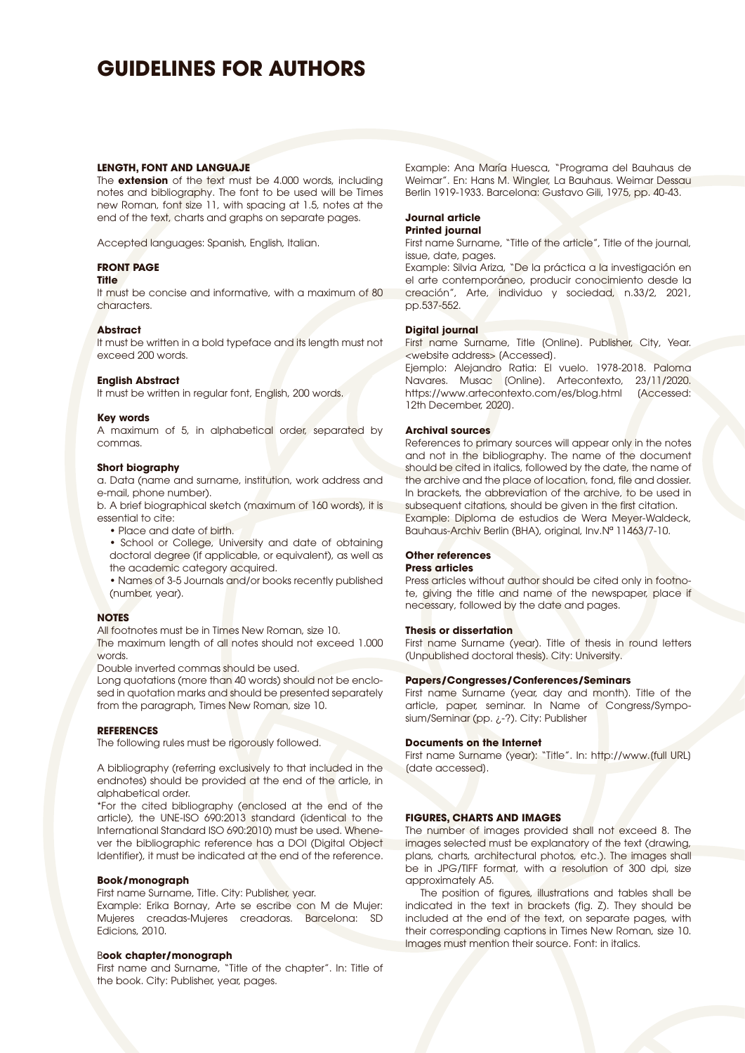# **GUIDELINES FOR AUTHORS**

#### **LENGTH, FONT AND LANGUAJE**

The **extension** of the text must be 4.000 words, including notes and bibliography. The font to be used will be Times new Roman, font size 11, with spacing at 1.5, notes at the end of the text, charts and graphs on separate pages.

Accepted languages: Spanish, English, Italian.

#### **FRONT PAGE**

#### **Title**

It must be concise and informative, with a maximum of 80 characters.

#### **Abstract**

It must be written in a bold typeface and its length must not exceed 200 words.

#### **English Abstract**

It must be written in regular font, English, 200 words.

#### **Key words**

A maximum of 5, in alphabetical order, separated by commas.

#### **Short biography**

a. Data (name and surname, institution, work address and e-mail, phone number).

b. A brief biographical sketch (maximum of 160 words), it is essential to cite:

• Place and date of birth.

• School or College, University and date of obtaining doctoral degree (if applicable, or equivalent), as well as the academic category acquired.

• Names of 3-5 Journals and/or books recently published (number, year).

#### **NOTES**

All footnotes must be in Times New Roman, size 10. The maximum length of all notes should not exceed 1.000 words.

Double inverted commas should be used.

Long quotations (more than 40 words) should not be enclosed in quotation marks and should be presented separately from the paragraph, Times New Roman, size 10.

#### **REFERENCES**

The following rules must be rigorously followed.

A bibliography (referring exclusively to that included in the endnotes) should be provided at the end of the article, in alphabetical order.

\*For the cited bibliography (enclosed at the end of the article), the UNE-ISO 690:2013 standard (identical to the International Standard ISO 690:2010) must be used. Whenever the bibliographic reference has a DOI (Digital Object Identifier), it must be indicated at the end of the reference.

#### **Book/monograph**

First name Surname, Title. City: Publisher, year. Example: Erika Bornay, Arte se escribe con M de Mujer: Mujeres creadas-Mujeres creadoras. Barcelona: SD Edicions, 2010.

#### B**ook chapter/monograph**

First name and Surname, "Title of the chapter". In: Title of the book. City: Publisher, year, pages.

Example: Ana María Huesca, "Programa del Bauhaus de Weimar". En: Hans M. Wingler, La Bauhaus. Weimar Dessau Berlin 1919-1933. Barcelona: Gustavo Gili, 1975, pp. 40-43.

#### **Journal article Printed journal**

First name Surname, "Title of the article", Title of the journal, issue, date, pages.

Example: Silvia Ariza, "De la práctica a la investigación en el arte contemporáneo, producir conocimiento desde la creación", Arte, individuo y sociedad, n.33/2, 2021, pp.537-552.

#### **Digital journal**

First name Surname, Title [Online]. Publisher, City, Year. <website address> [Accessed].

Ejemplo: Alejandro Ratia: El vuelo. 1978-2018. Paloma Navares. Musac [Online]. Artecontexto, 23/11/2020. https://www.artecontexto.com/es/blog.html (Accessed: 12th December, 2020].

#### **Archival sources**

References to primary sources will appear only in the notes and not in the bibliography. The name of the document should be cited in italics, followed by the date, the name of the archive and the place of location, fond, file and dossier. In brackets, the abbreviation of the archive, to be used in subsequent citations, should be given in the first citation. Example: Diploma de estudios de Wera Meyer-Waldeck, Bauhaus-Archiv Berlin (BHA), original, Inv.Nª 11463/7-10.

#### **Other references**

#### **Press articles**

Press articles without author should be cited only in footnote, giving the title and name of the newspaper, place if necessary, followed by the date and pages.

#### **Thesis or dissertation**

First name Surname (year). Title of thesis in round letters (Unpublished doctoral thesis). City: University.

#### **Papers/Congresses/Conferences/Seminars**

First name Surname (year, day and month). Title of the article, paper, seminar. In Name of Congress/Symposium/Seminar (pp. ¿-?). City: Publisher

#### **Documents on the Internet**

First name Surname (year): "Title". In: http://www.[full URL] [date accessed].

#### **FIGURES, CHARTS AND IMAGES**

The number of images provided shall not exceed 8. The images selected must be explanatory of the text (drawing, plans, charts, architectural photos, etc.). The images shall be in JPG/TIFF format, with a resolution of 300 dpi, size approximately A5.

The position of figures, illustrations and tables shall be indicated in the text in brackets (fig. Z). They should be included at the end of the text, on separate pages, with their corresponding captions in Times New Roman, size 10. Images must mention their source. Font: in italics.